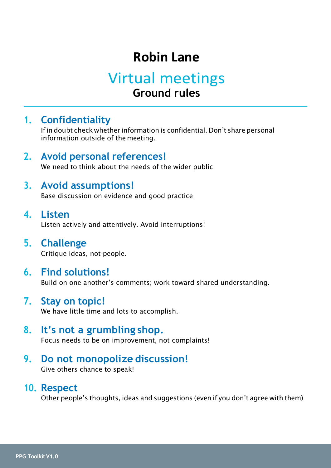# **Robin Lane**

# Virtual meetings **Ground rules**

## **1. Confidentiality**

Ifin doubt check whether information is confidential. Don't share personal information outside of the meeting.

## **2. Avoid personal references!**

We need to think about the needs of the wider public

# **3. Avoid assumptions!**

Base discussion on evidence and good practice

#### **4. Listen**

Listen actively and attentively. Avoid interruptions!

## **5. Challenge**

Critique ideas, not people.

## **6. Find solutions!**

Build on one another's comments; work toward shared understanding.

#### **7. Stay on topic!**

We have little time and lots to accomplish.

## **8. It's not a grumbling shop.**

Focus needs to be on improvement, not complaints!

## **9. Do not monopolize discussion!**

Give others chance to speak!

## **10. Respect**

Other people's thoughts, ideas and suggestions (even if you don't agree with them)